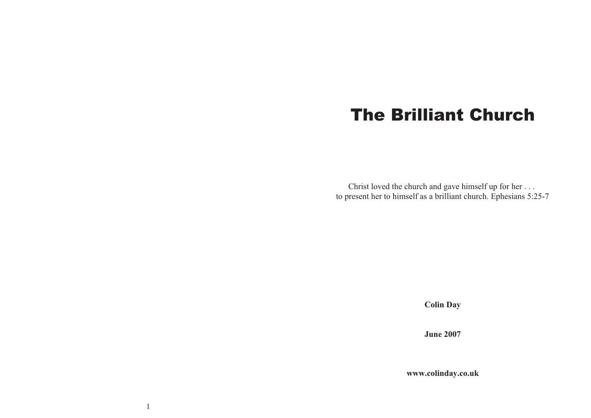# The Brilliant Church

Christ loved the church and gave himself up for her... to presen<sup>t</sup> her to himself as <sup>a</sup> brilliant church. Ephesians 5:25-7

**Colin Day**

**June 2007**

**www.colinday.co.uk**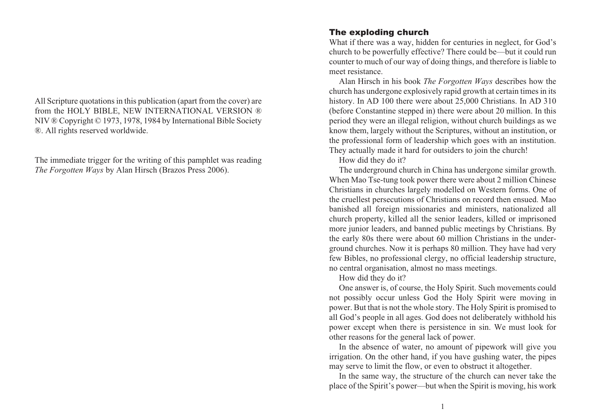All Scripture quotations in this publication (apart from the cover) are from the HOLY BIBLE, NEW INTERNATIONAL VERSION ® NIV ® Copyright © 1973, 1978, 1984 by International Bible Society ®. All rights reserved worldwide.

The immediate trigger for the writing of this pamphlet was reading *The Forgotten Ways* by Alan Hirsch (Brazos Press 2006).

## The exploding church

What if there was <sup>a</sup> way, hidden for centuries in neglect, for God's church to be powerfully effective? There could be—but it could run counter to much of our way of doing things, and therefore is liable to meet resistance.

Alan Hirsch in his book *The Forgotten Ways* describes how the church has undergone explosively rapid growth at certain times in its history. In AD 100 there were about 25,000 Christians. In AD 310 (before Constantine stepped in) there were about 20 million. In this period they were an illegal religion, without church buildings as we know them, largely without the Scriptures, without an institution, or the professional form of leadership which goes with an institution. They actually made it hard for outsiders to join the church!

How did they do it?

The underground church in China has undergone similar growth. When Mao Tse-tung took power there were about 2 million Chinese Christians in churches largely modelled on Western forms. One of the cruellest persecutions of Christians on record then ensued. Mao banished all foreign missionaries and ministers, nationalized all church property, killed all the senior leaders, killed or imprisoned more junior leaders, and banned public meetings by Christians. By the early 80s there were about 60 million Christians in the underground churches. Now it is perhaps 80 million. They have had very few Bibles, no professional clergy, no official leadership structure, no central organisation, almost no mass meetings.

How did they do it?

One answer is, of course, the Holy Spirit. Such movements could not possibly occur unless God the Holy Spirit were moving in power. But that is not the whole story. The Holy Spirit is promised to all God's people in all ages. God does not deliberately withhold his power excep<sup>t</sup> when there is persistence in sin. We must look for other reasons for the general lack of power.

In the absence of water, no amount of pipework will give you irrigation. On the other hand, if you have gushing water, the pipes may serve to limit the flow, or even to obstruct it altogether.

In the same way, the structure of the church can never take the place of the Spirit's power—but when the Spirit is moving, his work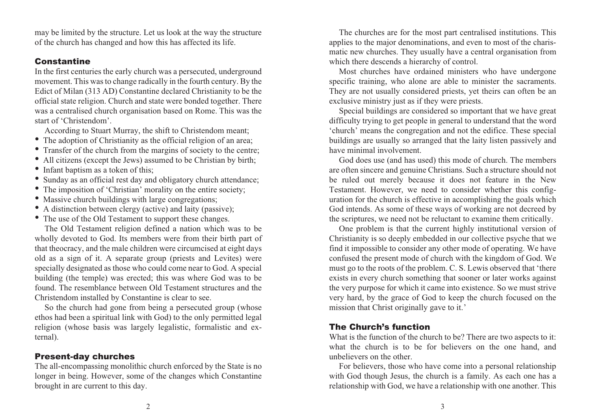may be limited by the structure. Let us look at the way the structure of the church has changed and how this has affected its life.

#### Constantine

In the first centuries the early church was <sup>a</sup> persecuted, underground movement. This was to change radically in the fourth century. By the Edict of Milan (313 AD) Constantine declared Christianity to be the official state religion. Church and state were bonded together. There was <sup>a</sup> centralised church organisation based on Rome. This was the start of 'Christendom'.

According to Stuart Murray, the shift to Christendom meant;

- The adoption of Christianity as the official religion of an area;
- Transfer of the church from the margins of society to the centre;
- All citizens (except the Jews) assumed to be Christian by birth;
- Infant baptism as a token of this;
- Sunday as an official rest day and obligatory church attendance;
- The imposition of 'Christian' morality on the entire society;
- Massive church buildings with large congregations;
- A distinction between clergy (active) and laity (passive);
- The use of the Old Testament to suppor<sup>t</sup> these changes.

The Old Testament religion defined <sup>a</sup> nation which was to be wholly devoted to God. Its members were from their birth par<sup>t</sup> of that theocracy, and the male children were circumcised at eight days old as <sup>a</sup> sign of it. A separate group (priests and Levites) were specially designated as those who could come near to God. A special building (the temple) was erected; this was where God was to be found. The resemblance between Old Testament structures and theChristendom installed by Constantine is clear to see.

So the church had gone from being <sup>a</sup> persecuted group (whose ethos had been <sup>a</sup> spiritual link with God) to the only permitted legal religion (whose basis was largely legalistic, formalistic and external).

## Present-day churches

The all-encompassing monolithic church enforced by the State is no longer in being. However, some of the changes which Constantine brought in are current to this day.

The churches are for the most par<sup>t</sup> centralised institutions. This applies to the major denominations, and even to most of the charismatic new churches. They usually have <sup>a</sup> central organisation from which there descends <sup>a</sup> hierarchy of control.

Most churches have ordained ministers who have undergone specific training, who alone are able to minister the sacraments. They are not usually considered priests, ye<sup>t</sup> theirs can often be an exclusive ministry just as if they were priests.

Special buildings are considered so important that we have grea<sup>t</sup> difficulty trying to ge<sup>t</sup> people in general to understand that the word 'church' means the congregation and not the edifice. These special buildings are usually so arranged that the laity listen passively and have minimal involvement.

God does use (and has used) this mode of church. The members are often sincere and genuine Christians. Such <sup>a</sup> structure should not be ruled out merely because it does not feature in the New Testament. However, we need to consider whether this configuration for the church is effective in accomplishing the goals which God intends. As some of these ways of working are not decreed by the scriptures, we need not be reluctant to examine them critically.

One problem is that the current highly institutional version of Christianity is so deeply embedded in our collective psyche that we find it impossible to consider any other mode of operating. We have confused the presen<sup>t</sup> mode of church with the kingdom of God. We must go to the roots of the problem. C. S. Lewis observed that 'there exists in every church something that sooner or later works against the very purpose for which it came into existence. So we must strive very hard, by the grace of God to keep the church focused on the mission that Christ originally gave to it.'

## The Church's function

What is the function of the church to be? There are two aspects to it: what the church is to be for believers on the one hand, and unbelievers on the other.

For believers, those who have come into <sup>a</sup> personal relationship with God though Jesus, the church is <sup>a</sup> family. As each one has <sup>a</sup> relationship with God, we have <sup>a</sup> relationship with one another. This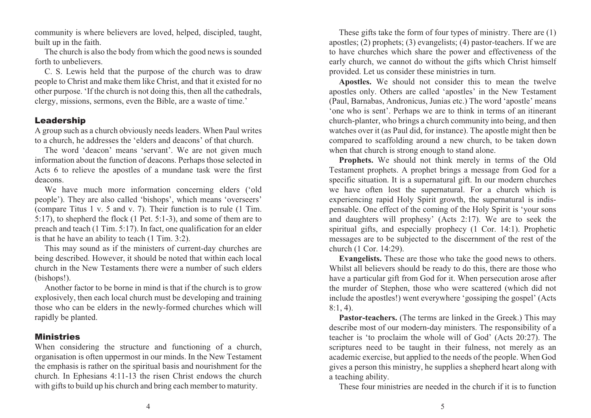community is where believers are loved, helped, discipled, taught, built up in the faith.

The church is also the body from which the good news is sounded forth to unbelievers.

C. S. Lewis held that the purpose of the church was to draw people to Christ and make them like Christ, and that it existed for no other purpose. 'If the church is not doing this, then all the cathedrals, clergy, missions, sermons, even the Bible, are <sup>a</sup> waste of time.'

## Leadership

A group such as <sup>a</sup> church obviously needs leaders. When Paul writes to <sup>a</sup> church, he addresses the 'elders and deacons' of that church.

The word 'deacon' means 'servant'. We are not given much information about the function of deacons. Perhaps those selected in Acts 6 to relieve the apostles of <sup>a</sup> mundane task were the first deacons.

We have much more information concerning elders ('old people'). They are also called 'bishops', which means 'overseers' (compare Titus 1 v. 5 and v. 7). Their function is to rule (1 Tim. 5:17), to shepherd the flock (1 Pet. 5:1-3), and some of them are to preach and teach (1 Tim. 5:17). In fact, one qualification for an elder is that he have an ability to teach (1 Tim. 3:2).

This may sound as if the ministers of current-day churches are being described. However, it should be noted that within each local church in the New Testaments there were <sup>a</sup> number of such elders(bishops!).

Another factor to be borne in mind is that if the church is to grow explosively, then each local church must be developing and training those who can be elders in the newly-formed churches which will rapidly be planted.

# Ministries

When considering the structure and functioning of <sup>a</sup> church, organisation is often uppermos<sup>t</sup> in our minds. In the New Testament the emphasis is rather on the spiritual basis and nourishment for the church. In Ephesians 4:11-13 the risen Christ endows the church with gifts to build up his church and bring each member to maturity.

These gifts take the form of four types of ministry. There are (1) apostles; (2) prophets; (3) evangelists; (4) pastor-teachers. If we are to have churches which share the power and effectiveness of the early church, we cannot do without the gifts which Christ himself provided. Let us consider these ministries in turn.

**Apostles.** We should not consider this to mean the twelve apostles only. Others are called 'apostles' in the New Testament (Paul, Barnabas, Andronicus, Junias etc.) The word 'apostle' means 'one who is sent'. Perhaps we are to think in terms of an itinerant church-planter, who brings <sup>a</sup> church community into being, and then watches over it (as Paul did, for instance). The apostle might then be compared to scaffolding around <sup>a</sup> new church, to be taken down when that church is strong enough to stand alone.

**Prophets.** We should not think merely in terms of the Old Testament prophets. A prophet brings <sup>a</sup> message from God for <sup>a</sup> specific situation. It is <sup>a</sup> supernatural gift. In our modern churches we have often lost the supernatural. For <sup>a</sup> church which is experiencing rapid Holy Spirit growth, the supernatural is indispensable. One effect of the coming of the Holy Spirit is 'your sons and daughters will prophesy' (Acts 2:17). We are to seek the spiritual gifts, and especially prophecy (1 Cor. 14:1). Prophetic messages are to be subjected to the discernment of the rest of the church (1 Cor. 14:29).

**Evangelists.** These are those who take the good news to others. Whilst all believers should be ready to do this, there are those who have <sup>a</sup> particular gift from God for it. When persecution arose after the murder of Stephen, those who were scattered (which did not include the apostles!) went everywhere 'gossiping the gospel' (Acts 8:1, 4).

**Pastor-teachers.** (The terms are linked in the Greek.) This may describe most of our modern-day ministers. The responsibility of <sup>a</sup> teacher is 'to proclaim the whole will of God' (Acts 20:27). The scriptures need to be taught in their fulness, not merely as an academic exercise, but applied to the needs of the people. When God gives <sup>a</sup> person this ministry, he supplies <sup>a</sup> shepherd heart along with <sup>a</sup> teaching ability.

These four ministries are needed in the church if it is to function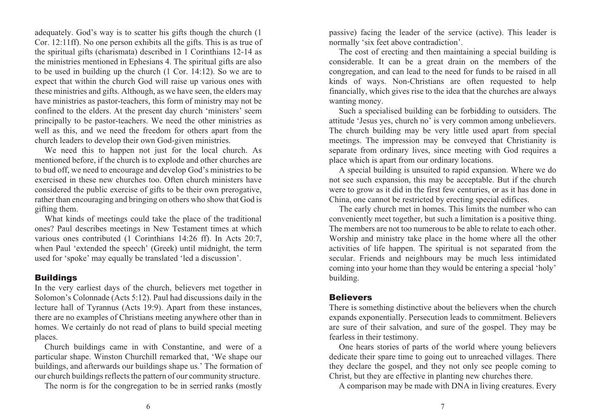adequately. God's way is to scatter his gifts though the church (1 Cor. 12:11ff). No one person exhibits all the gifts. This is as true of the spiritual gifts (charismata) described in 1 Corinthians 12-14 as the ministries mentioned in Ephesians 4. The spiritual gifts are also to be used in building up the church (1 Cor. 14:12). So we are to expec<sup>t</sup> that within the church God will raise up various ones with these ministries and gifts. Although, as we have seen, the elders may have ministries as pastor-teachers, this form of ministry may not be confined to the elders. At the presen<sup>t</sup> day church 'ministers' seem principally to be pastor-teachers. We need the other ministries as well as this, and we need the freedom for others apar<sup>t</sup> from the church leaders to develop their own God-given ministries.

We need this to happen not just for the local church. As mentioned before, if the church is to explode and other churches are to bud off, we need to encourage and develop God's ministries to be exercised in these new churches too. Often church ministers haveconsidered the public exercise of gifts to be their own prerogative, rather than encouraging and bringing on others who show that God is gifting them.

What kinds of meetings could take the place of the traditional ones? Paul describes meetings in New Testament times at which various ones contributed (1 Corinthians 14:26 ff). In Acts 20:7, when Paul 'extended the speech' (Greek) until midnight, the term used for 'spoke' may equally be translated 'led <sup>a</sup> discussion'.

## Buildings

In the very earliest days of the church, believers met together in Solomon's Colonnade (Acts 5:12). Paul had discussions daily in the lecture hall of Tyrannus (Acts 19:9). Apart from these instances, there are no examples of Christians meeting anywhere other than in homes. We certainly do not read of plans to build special meeting places.

Church buildings came in with Constantine, and were of <sup>a</sup> particular shape. Winston Churchill remarked that, 'We shape our buildings, and afterwards our buildings shape us.' The formation of our church buildings reflects the pattern of our community structure.

The norm is for the congregation to be in serried ranks (mostly

passive) facing the leader of the service (active). This leader is normally 'six feet above contradiction'.

The cost of erecting and then maintaining <sup>a</sup> special building is considerable. It can be <sup>a</sup> grea<sup>t</sup> drain on the members of the congregation, and can lead to the need for funds to be raised in all kinds of ways. Non-Christians are often requested to help financially, which gives rise to the idea that the churches are always wanting money.

Such <sup>a</sup> specialised building can be forbidding to outsiders. The attitude 'Jesus yes, church no' is very common among unbelievers. The church building may be very little used apar<sup>t</sup> from special meetings. The impression may be conveyed that Christianity is separate from ordinary lives, since meeting with God requires <sup>a</sup> place which is apar<sup>t</sup> from our ordinary locations.

A special building is unsuited to rapid expansion. Where we do not see such expansion, this may be acceptable. But if the church were to grow as it did in the first few centuries, or as it has done in China, one cannot be restricted by erecting special edifices.

The early church met in homes. This limits the number who can conveniently meet together, but such <sup>a</sup> limitation is <sup>a</sup> positive thing. The members are not too numerous to be able to relate to each other. Worship and ministry take place in the home where all the other activities of life happen. The spiritual is not separated from the secular. Friends and neighbours may be much less intimidated coming into your home than they would be entering <sup>a</sup> special 'holy' building.

## **Believers**

There is something distinctive about the believers when the church expands exponentially. Persecution leads to commitment. Believers are sure of their salvation, and sure of the gospel. They may be fearless in their testimony.

One hears stories of parts of the world where young believers dedicate their spare time to going out to unreached villages. There they declare the gospel, and they not only see people coming to Christ, but they are effective in planting new churches there.

A comparison may be made with DNA in living creatures. Every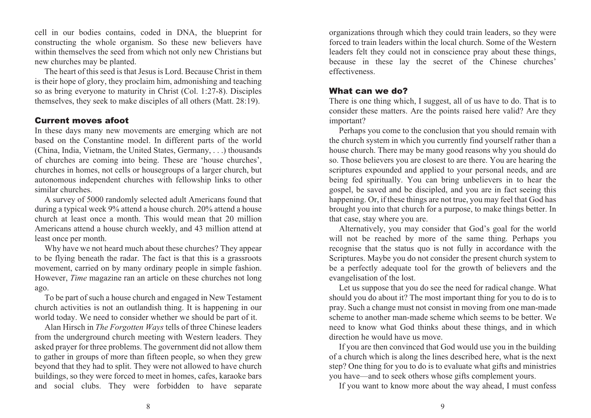cell in our bodies contains, coded in DNA, the blueprint for constructing the whole organism. So these new believers have within themselves the seed from which not only new Christians but new churches may be planted.

The heart of this seed is that Jesus is Lord. Because Christ in themis their hope of glory, they proclaim him, admonishing and teaching so as bring everyone to maturity in Christ (Col. 1:27-8). Disciples themselves, they seek to make disciples of all others (Matt. 28:19).

## Current moves afoot

In these days many new movements are emerging which are not based on the Constantine model. In different parts of the world (China, India, Vietnam, the United States, Germany, . . .) thousands of churches are coming into being. These are 'house churches', churches in homes, not cells or housegroups of <sup>a</sup> larger church, but autonomous independent churches with fellowship links to other similar churches.

A survey of 5000 randomly selected adult Americans found that during <sup>a</sup> typical week 9% attend <sup>a</sup> house church. 20% attend <sup>a</sup> house church at least once <sup>a</sup> month. This would mean that 20 million Americans attend <sup>a</sup> house church weekly, and 43 million attend at least once per month.

Why have we not heard much about these churches? They appear to be flying beneath the radar. The fact is that this is <sup>a</sup> grassroots movement, carried on by many ordinary people in simple fashion. However, *Time* magazine ran an article on these churches not long ago.

To be par<sup>t</sup> of such <sup>a</sup> house church and engaged in New Testament church activities is not an outlandish thing. It is happening in our world today. We need to consider whether we should be par<sup>t</sup> of it.

Alan Hirsch in *The Forgotten Ways* tells of three Chinese leaders from the underground church meeting with Western leaders. They asked prayer for three problems. The governmen<sup>t</sup> did not allow them to gather in groups of more than fifteen people, so when they grew beyond that they had to split. They were not allowed to have church buildings, so they were forced to meet in homes, cafes, karaoke bars and social clubs. They were forbidden to have separate organizations through which they could train leaders, so they were forced to train leaders within the local church. Some of the Westernleaders felt they could not in conscience pray about these things, because in these lay the secret of the Chinese churches' effectiveness.

## What can we do?

There is one thing which, I suggest, all of us have to do. That is to consider these matters. Are the points raised here valid? Are they important?

Perhaps you come to the conclusion that you should remain with the church system in which you currently find yourself rather than <sup>a</sup> house church. There may be many good reasons why you should do so. Those believers you are closest to are there. You are hearing the scriptures expounded and applied to your personal needs, and are being fed spiritually. You can bring unbelievers in to hear the gospel, be saved and be discipled, and you are in fact seeing this happening. Or, if these things are not true, you may feel that God has brought you into that church for <sup>a</sup> purpose, to make things better. In that case, stay where you are.

Alternatively, you may consider that God's goal for the world will not be reached by more of the same thing. Perhaps you recognise that the status quo is not fully in accordance with the Scriptures. Maybe you do not consider the presen<sup>t</sup> church system to be <sup>a</sup> perfectly adequate tool for the growth of believers and the evangelisation of the lost.

Let us suppose that you do see the need for radical change. What should you do about it? The most important thing for you to do is to pray. Such <sup>a</sup> change must not consist in moving from one man-made scheme to another man-made scheme which seems to be better. We need to know what God thinks about these things, and in which direction he would have us move.

If you are then convinced that God would use you in the building of <sup>a</sup> church which is along the lines described here, what is the next step? One thing for you to do is to evaluate what gifts and ministries you have—and to seek others whose gifts complement yours.

If you want to know more about the way ahead, I must confess